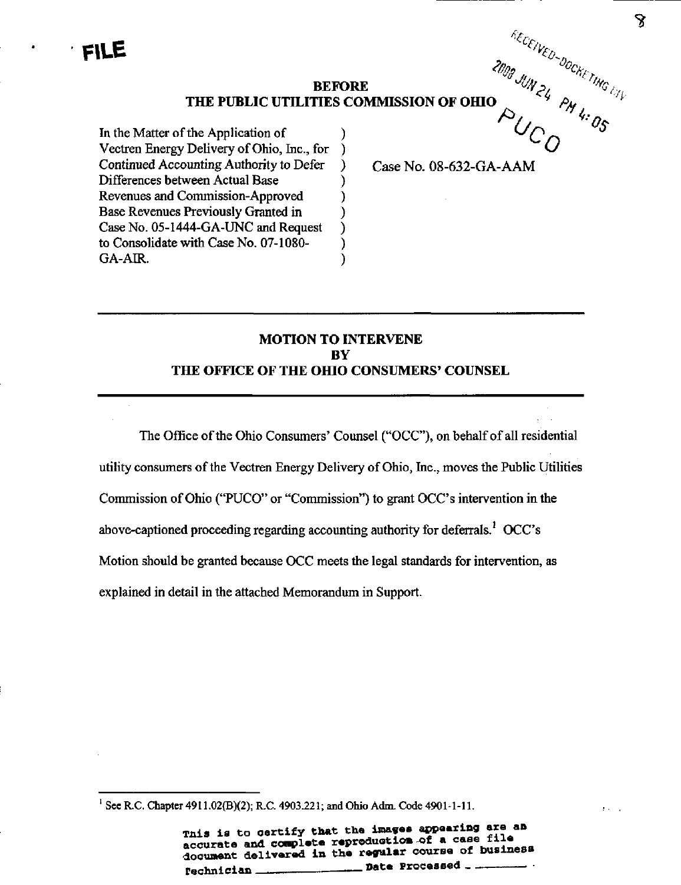BEFORE THE PUBLIC UTILITIES COMMISSION OF OHIO

 $\mathcal{E}$ 

ſ

℩

In the Matter of the Application of Vectren Energy Delivery of Ohio, Inc., for  $\lambda$ Continued Accounting Authority to Defer Differences between Actual Base Revenues and Commission-Approved Base Revenues Previously Granted in Case No. 05-1444-GA-UNC and Request to Consolidate with Case No. 07-1080- GA-AIR.

Case No. 08-632-GA-AAM

 $\epsilon_{c_{\ell\mu}}$ 

 $\cdot$   $\circ$ 

 $\omega_{\gamma}$ %

 $\zeta$ 

 $c_{\mathcal{H}_i}$ 

 $^\prime$  M  $^\prime$ 

 $U_C$   $U_O$ 

 $^{\prime\prime}$ 

 $a_k$ 

 $\epsilon$  My

 $\boldsymbol{\sim}$ 

# MOTION TO INTERVENE BY THE OFFICE OF THE OHIO CONSUMERS' COUNSEL

The Office of the Ohio Consumers' Counsel ("OCC"), on behalf of all residential utility consumers of the Vectren Energy Delivery of Ohio, Inc., moves the Public Utilities Commission ofOhio ("PUCO" or "Commission") to grant OCC's intervention in the above-captioned proceeding regarding accounting authority for deferrals.<sup> $1$ </sup> OCC's Motion should be granted because OCC meets the legal standards for intervention, as explained in detail in the attached Memorandiun in Support.

<sup>1</sup> See R.C. Chapter 4911.02(B)(2); R.C. 4903.221; and Ohio Adm. Code 4901-1-11.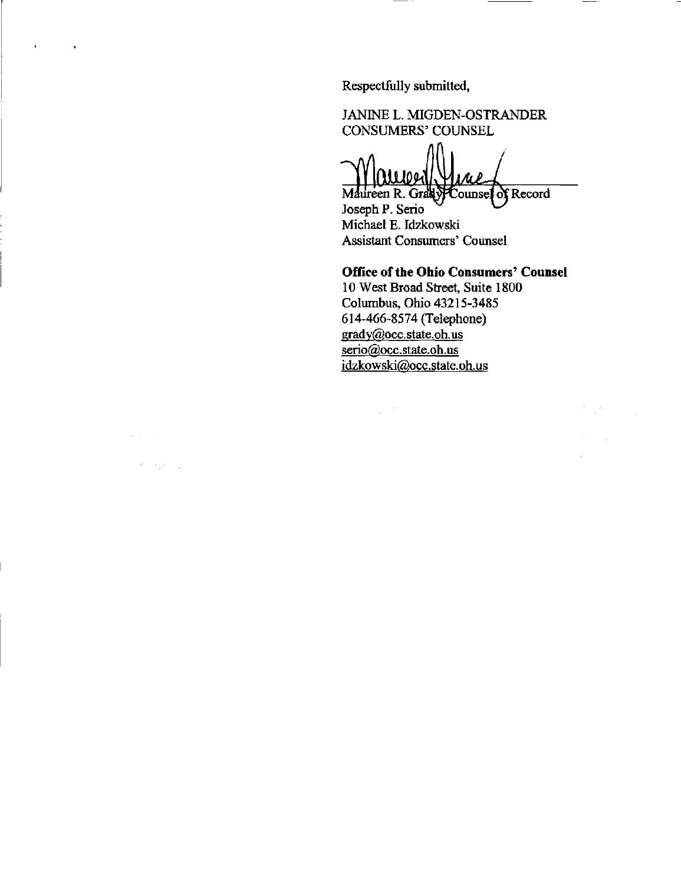Respectfully submitted,

 $\blacksquare$ 

 $\mathcal{A}(\mathcal{A})$  and  $\mathcal{A}$ 

 $\theta=\lambda_1\theta-\tau_2$ 

JANINE L. MIGDEN-OSTRANDER CONSUMERS' COUNSEL

Mulled Yune

Joseph P. Serio Michael E. Idzkowski Assistant Consumers' Counsel

# Office of the Ohio Consumers' Counsel

 $\mathbb{R}^{N}$ 

 $\bar{a}$ 

 $\sim 10^{-11}$ 

10 West Broad Street, Suite 1800 Columbus, Ohio 43215-3485 614-466-8574 (Telephone) [gradv@occ.state.oh.us](mailto:gradv@occ.state.oh.us)  serio@occ.state.oh.us [idzkowski@occ.state.oh.us](mailto:idzkowski@occ.state.oh.us) 

 $\frac{1}{2} \left( \frac{1}{2} \right)$  .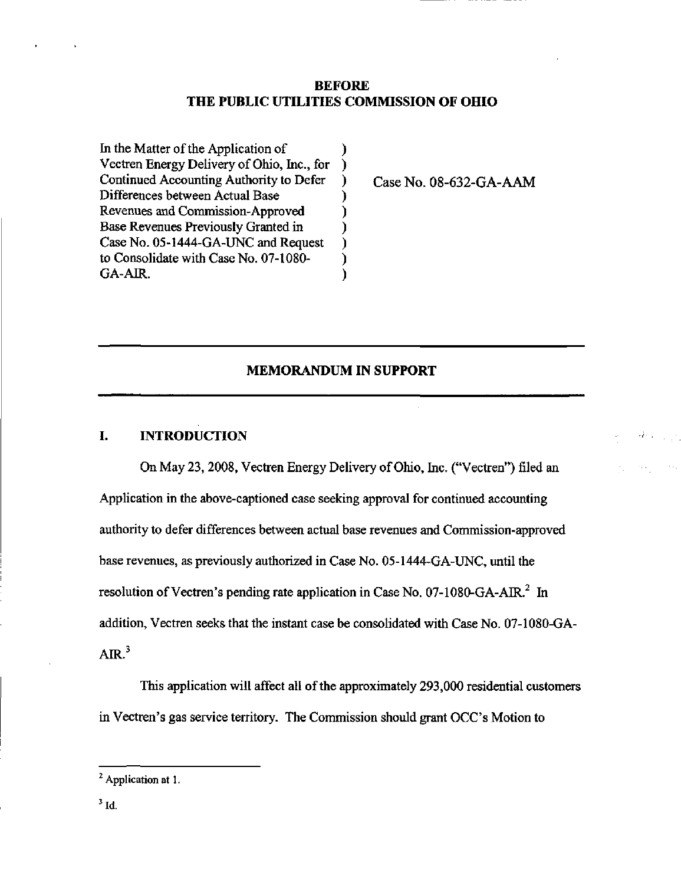## BEFORE THE PUBLIC UTILITIES COMMISSION OF OHIO

).

I

) J

In the Matter of the Application of Vectren Energy Delivery of Ohio, Inc., for  $\mathcal{E}$ Continued Accounting Authority to Defer  $\mathcal{E}$ Differences between Actual Base Revenues and Commission-Approved  $\mathbf{\ }$ Base Revenues Previously Granted in Case No. 05-1444-GA-UNC and Request to Consolidate with Case No. 07-1080-  $\lambda$ GA-AIR.  $\lambda$ 

Case No. 08-632-GA-AAM

# MEMORANDUM IN SUPPORT

# I. INTRODUCTION

On May 23, 2008, Vectren Energy Delivery ofOhio, Inc. ("Vectren") filed an Application in the above-captioned case seeking approval for continued accounting authority to defer differences between actual base revenues and Commission-approved base revenues, as previously authorized in Case No. 05-1444-GA-UNC, until the resolution of Vectren's pending rate application in Case No. 07-1080-GA-AIR. $^2$  In addition, Vectren seeks that the instant case be consolidated with Case No. 07-1080-GA-AIR. $3$ 

This application will affect all of the approximately 293,000 residential customers in Vectren's gas service territory. The Commission should grant OCC's Motion to

<sup>&</sup>lt;sup>2</sup> Application at 1.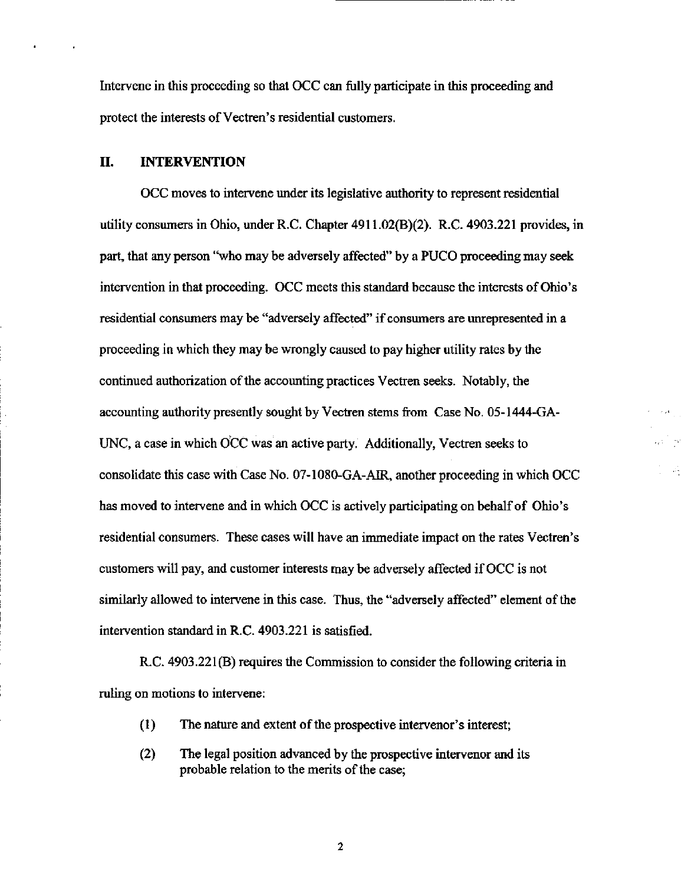Intervene in this proceeding so that OCC can fiilly participate in this proceeding and protect the interests of Vectren's residential customers.

## II. INTERVENTION

OCC moves to intervene under its legislative authority to represent residential utility consumers in Ohio, under R.C. Chapter  $4911.02(B)(2)$ . R.C.  $4903.221$  provides, in part, that any person "who may be adversely affected" by a PUCO proceeding may seek intervention in that proceeding. OCC meets this standard because the interests of Ohio's residential consumers maybe "adversely affected" if consumers are unrepresented in a proceeding in which they may be wrongly caused to pay higher utility rates by the continued authorization of the accounting practices Vectren seeks. Notably, the accounting authority presently sought by Vectren stems from Case No. 05-1444-GA-UNC, a case in which OCC was an active party. Additionally, Vectren seeks to consolidate this case with Case No. 07-1080-GA-AIR, another proceeding in which OCC has moved to intervene and in which OCC is actively participating on behalf of Ohio's residential consumers. These cases will have an immediate impact on the rates Vectren's customers will pay, and customer interests may be adversely affected if OCC is not similarly allowed to intervene in this case. Thus, the "adversely affected" element of the intervention standard in R.C. 4903.221 is satisfied.

R.C. 4903.221(B) requires the Commission to consider the following criteria in ruling on motions to intervene:

- $(1)$  The nature and extent of the prospective intervener's interest;
- (2) The legal position advanced by the prospective intervenor and its probable relation to the merits of the case;

 $\boldsymbol{2}$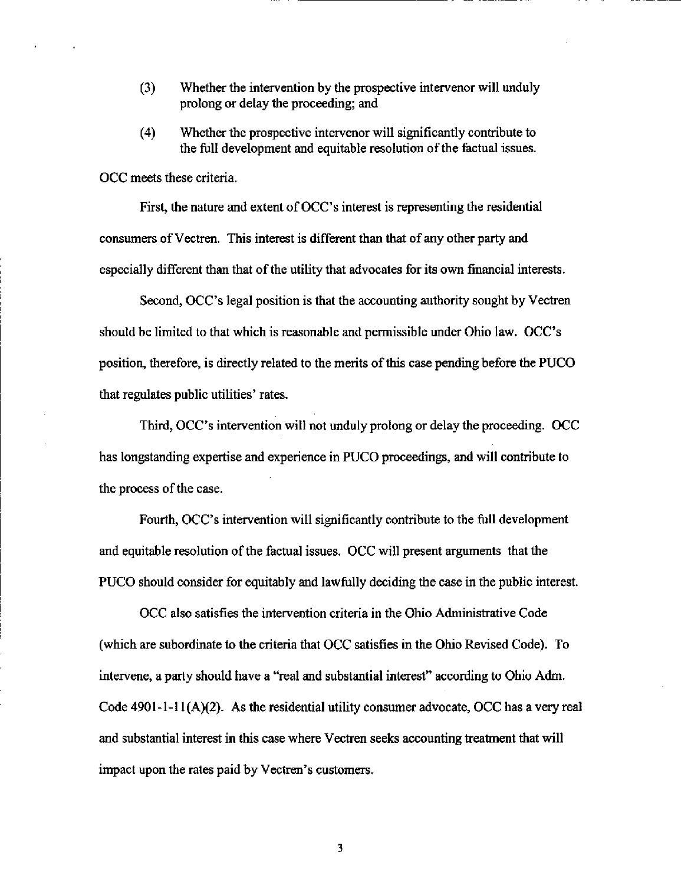- $(3)$  Whether the intervention by the prospective intervenor will unduly prolong or delay the proceeding; and
- (4) Whether the prospective intervenor will significantly contribute to the full development and equitable resolution of the factual issues.

OCC meets these criteria.

First, the nature and extent of OCC's interest is representing the residential consumers of Vectren. This interest is different than that of any other party and especially different than that of the utility that advocates for its own financial interests.

Second, OCC's legal position is that the accounting authority sought by Vectren should be limited to that which is reasonable and permissible under Ohio law. OCC's position, therefore, is directly related to the merits of this case pending before the PUCO that regulates public utilities' rates.

Third, OCC's intervention will not unduly prolong or delay the proceeding. OCC has longstanding expertise and experience in PUCO proceedings, and will contribute to the process of the case.

Fourth, OCC's intervention will significantly contribute to the full development and equitable resolution of the factual issues. OCC will present arguments that the PUCO should consider for equitably and lawfiilly deciding the case in the pubhc interest.

OCC also satisfies the intervention criteria in the Ohio Administrative Code (which are subordinate to the criteria that OCC satisfies in the Ohio Revised Code). To intervene, a party should have a "real and substantial interest" according to Ohio Adm. Code 4901-1-11(A)(2). As the residential utility consumer advocate, OCC has a very real and substantial interest in this case where Vectren seeks accounting treatment that will impact upon the rates paid by Vectren's customers.

 $\overline{3}$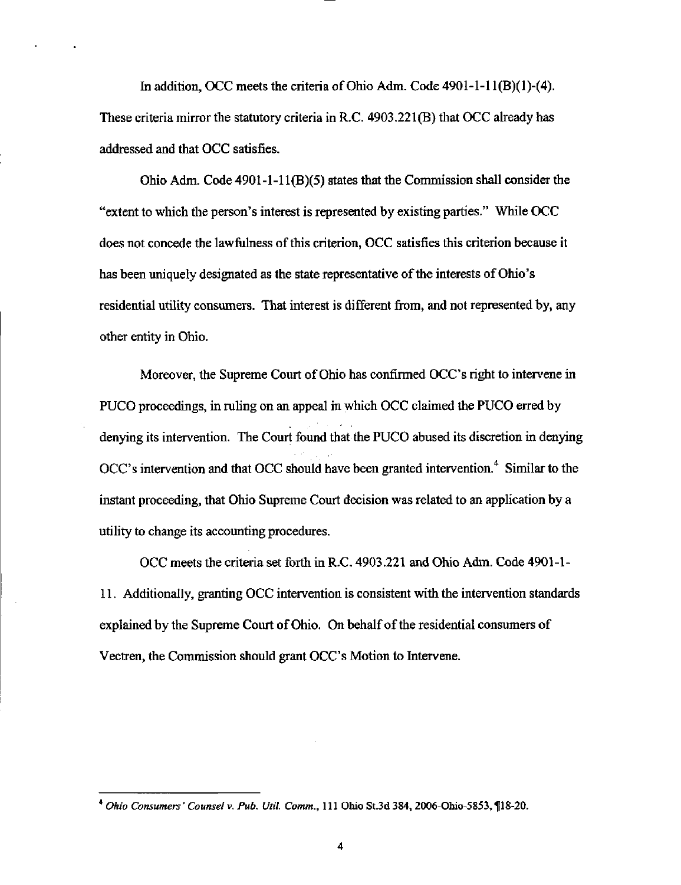In addition, OCC meets the criteria of Ohio Adm. Code  $4901-1-11(B)(1)-(4)$ . These criteria mirror the statutory criteria in R.C. 4903.221(B) that OCC aheady has addressed and that OCC satisfies.

Ohio Adm. Code 4901-1-11(B)(5) states that the Commission shall consider the "extent to which the person's interest is represented by existing parties." While OCC does not concede the lawfulness of this criterion, OCC satisfies this criterion because it has been uniquely designated as the state representative of the interests of Ohio's residential utility consumers. That interest is different from, and not represented by, any other entity in Ohio.

Moreover, the Supreme Court of Ohio has confirmed OCC's right to intervene in PUCO proceedings, in ruling on an appeal in which OCC claimed the PUCO erred by denying its intervention. The Court found that the PUCO abused its discretion in denying OCC's intervention and that OCC should have been granted intervention.<sup>4</sup> Similar to the instant proceeding, that Ohio Supreme Court decision was related to an application by a utility to change its accounting procedures.

OCC meets the criteria set forth in R.C. 4903.221 and Ohio Adm. Code 4901-1-11. Additionally, granting OCC intervention is consistent with the intervention standards explained by the Supreme Court of Ohio. On behalf of the residential consumers of Vectren, the Commission should grant OCC's Motion to Intervene.

<sup>\*</sup> Ohio Consumers' Counsel v. Pub. Util Comm., 111 Ohio St.3d 384, 2006-Ohio-5853, l|18-20.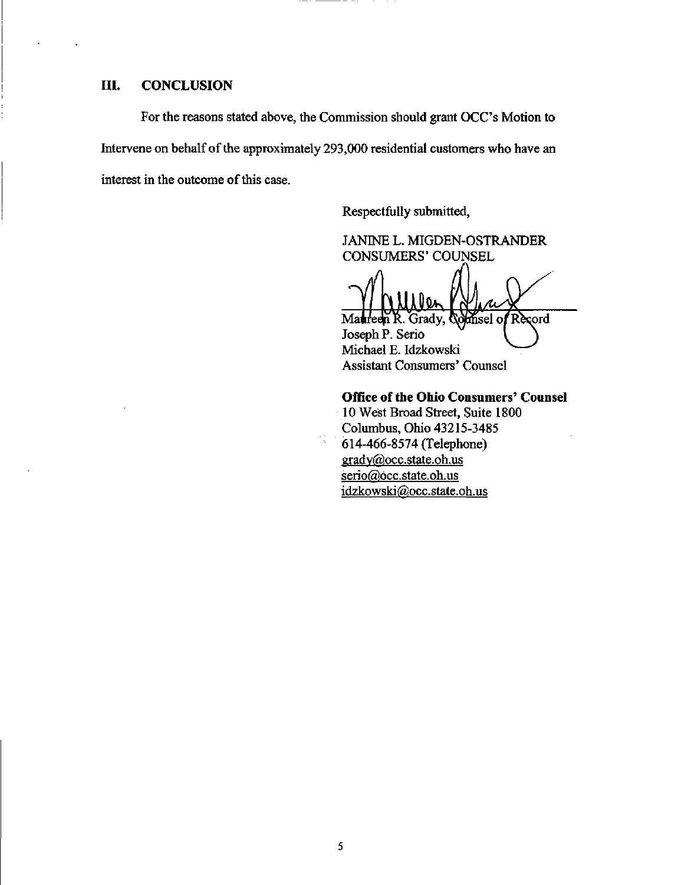#### IIL CONCLUSION

For the reasons stated above, the Commission should grant OCC's Motion to Intervene on behalf of the approximately 293,000 residential customers who have an interest in the outcome of this case.

Respectfully submitted,

JANINE L. MIGDEN-OSTRANDER CONSUMERS' COUNSEL

<u>×</u> dnsel of Record Ma**t**reen R. Grady,

Joseph P. Serio Michael E. Idzkowski Assistant Consumers' Counsel

Office of the Ohio Consumers' Counsel

10 West Broad Street, Suite 1800 Columbus, Ohio 43215-3485 614-466-8574 (Telephone) grady@occ.state.oh.us serio@occ.state.oh.us idzkowski@occ.state.oh.us